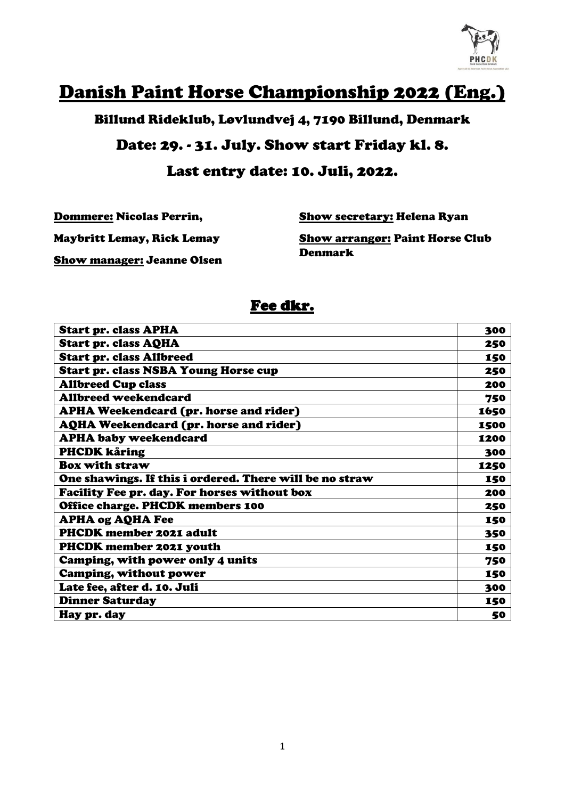

# Danish Paint Horse Championship 2022 (Eng.)

Billund Rideklub, Løvlundvej 4, 7190 Billund, Denmark

#### Date: 29. - 31. July. Show start Friday kl. 8.

#### Last entry date: 10. Juli, 2022.

Dommere: Nicolas Perrin,

Show secretary: Helena Ryan

Maybritt Lemay, Rick Lemay

Show arrangør: Paint Horse Club Denmark

Show manager: Jeanne Olsen

### Fee dkr.

| <b>Start pr. class APHA</b>                             | 300  |
|---------------------------------------------------------|------|
| <b>Start pr. class AQHA</b>                             | 250  |
| <b>Start pr. class Allbreed</b>                         | 150  |
| <b>Start pr. class NSBA Young Horse cup</b>             | 250  |
| <b>Allbreed Cup class</b>                               | 200  |
| <b>Allbreed weekendcard</b>                             | 750  |
| <b>APHA Weekendcard (pr. horse and rider)</b>           | 1650 |
| <b>AQHA Weekendcard (pr. horse and rider)</b>           | 1500 |
| <b>APHA baby weekendcard</b>                            | 1200 |
| <b>PHCDK kåring</b>                                     | 300  |
| <b>Box with straw</b>                                   | 1250 |
| One shawings. If this i ordered. There will be no straw | 150  |
| Facility Fee pr. day. For horses without box            | 200  |
| Office charge. PHCDK members 100                        | 250  |
| <b>APHA og AQHA Fee</b>                                 | 150  |
| <b>PHCDK</b> member 2021 adult                          | 350  |
| <b>PHCDK member 2021 youth</b>                          | 150  |
| Camping, with power only 4 units                        | 750  |
| Camping, without power                                  | 150  |
| Late fee, after d. 10. Juli                             | 300  |
| <b>Dinner Saturday</b>                                  | 150  |
| Hay pr. day                                             | 50   |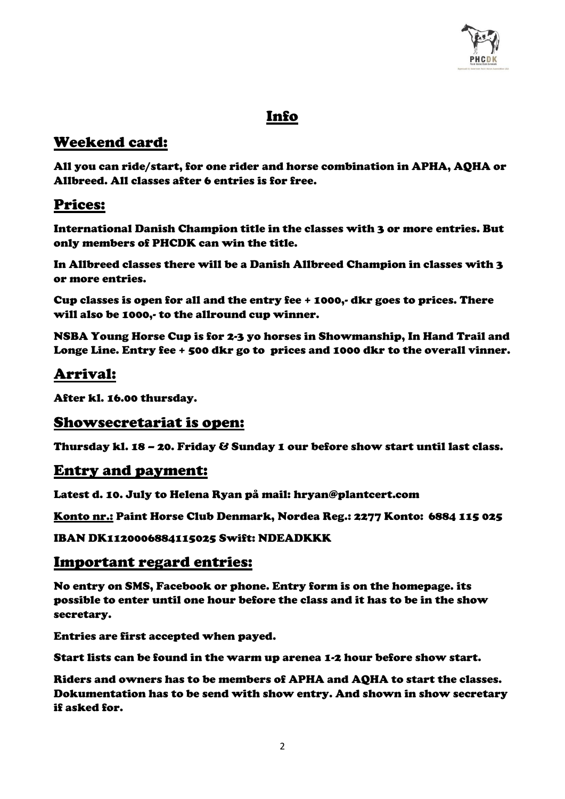

# Info

# Weekend card:

All you can ride/start, for one rider and horse combination in APHA, AQHA or Allbreed. All classes after 6 entries is for free.

# Prices:

International Danish Champion title in the classes with 3 or more entries. But only members of PHCDK can win the title.

In Allbreed classes there will be a Danish Allbreed Champion in classes with 3 or more entries.

Cup classes is open for all and the entry fee + 1000,- dkr goes to prices. There will also be 1000,- to the allround cup winner.

NSBA Young Horse Cup is for 2-3 yo horses in Showmanship, In Hand Trail and Longe Line. Entry fee + 500 dkr go to prices and 1000 dkr to the overall vinner.

# Arrival:

After kl. 16.00 thursday.

#### Showsecretariat is open:

Thursday kl. 18 – 20. Friday & Sunday 1 our before show start until last class.

#### Entry and payment:

Latest d. 10. July to Helena Ryan på mail: hryan@plantcert.com

Konto nr.: Paint Horse Club Denmark, Nordea Reg.: 2277 Konto: 6884 115 025

IBAN DK1120006884115025 Swift: NDEADKKK

#### Important regard entries:

No entry on SMS, Facebook or phone. Entry form is on the homepage. its possible to enter until one hour before the class and it has to be in the show secretary.

Entries are first accepted when payed.

Start lists can be found in the warm up arenea 1-2 hour before show start.

Riders and owners has to be members of APHA and AQHA to start the classes. Dokumentation has to be send with show entry. And shown in show secretary if asked for.